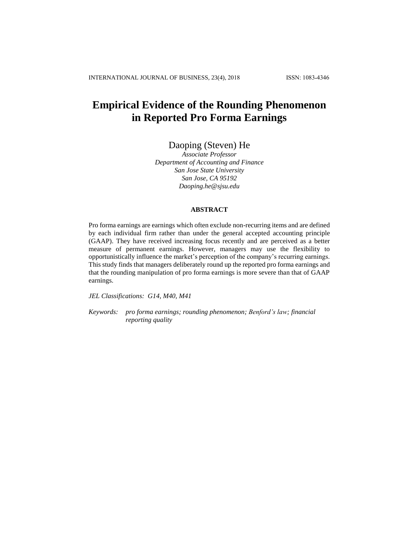# **Empirical Evidence of the Rounding Phenomenon in Reported Pro Forma Earnings**

## Daoping (Steven) He

*Associate Professor Department of Accounting and Finance San Jose State University San Jose, CA 95192 Daoping.he@sjsu.edu*

## **ABSTRACT**

Pro forma earnings are earnings which often exclude non-recurring items and are defined by each individual firm rather than under the general accepted accounting principle (GAAP). They have received increasing focus recently and are perceived as a better measure of permanent earnings. However, managers may use the flexibility to opportunistically influence the market's perception of the company's recurring earnings. This study finds that managers deliberately round up the reported pro forma earnings and that the rounding manipulation of pro forma earnings is more severe than that of GAAP earnings.

*JEL Classifications: G14, M40, M41*

*Keywords: pro forma earnings; rounding phenomenon; Benford's law; financial reporting quality*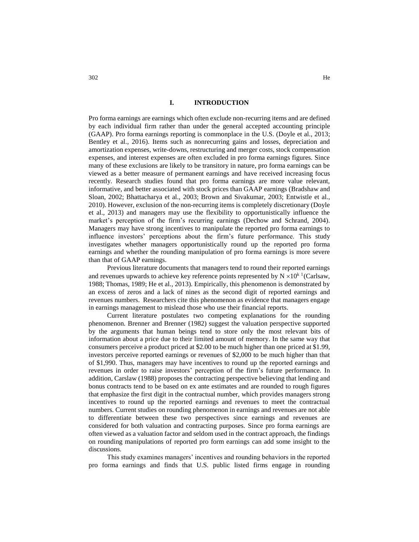### **I. INTRODUCTION**

Pro forma earnings are earnings which often exclude non-recurring items and are defined by each individual firm rather than under the general accepted accounting principle (GAAP). Pro forma earnings reporting is commonplace in the U.S. (Doyle et al., 2013; Bentley et al., 2016). Items such as nonrecurring gains and losses, depreciation and amortization expenses, write-downs, restructuring and merger costs, stock compensation expenses, and interest expenses are often excluded in pro forma earnings figures. Since many of these exclusions are likely to be transitory in nature, pro forma earnings can be viewed as a better measure of permanent earnings and have received increasing focus recently. Research studies found that pro forma earnings are more value relevant, informative, and better associated with stock prices than GAAP earnings (Bradshaw and Sloan, 2002; Bhattacharya et al., 2003; Brown and Sivakumar, 2003; Entwistle et al., 2010). However, exclusion of the non-recurring items is completely discretionary (Doyle et al., 2013) and managers may use the flexibility to opportunistically influence the market's perception of the firm's recurring earnings (Dechow and Schrand, 2004). Managers may have strong incentives to manipulate the reported pro forma earnings to influence investors' perceptions about the firm's future performance. This study investigates whether managers opportunistically round up the reported pro forma earnings and whether the rounding manipulation of pro forma earnings is more severe than that of GAAP earnings.

Previous literature documents that managers tend to round their reported earnings and revenues upwards to achieve key reference points represented by  $N \times 10^{k}$  1 (Carlsaw, 1988; Thomas, 1989; He et al., 2013). Empirically, this phenomenon is demonstrated by an excess of zeros and a lack of nines as the second digit of reported earnings and revenues numbers. Researchers cite this phenomenon as evidence that managers engage in earnings management to mislead those who use their financial reports.

Current literature postulates two competing explanations for the rounding phenomenon. Brenner and Brenner (1982) suggest the valuation perspective supported by the arguments that human beings tend to store only the most relevant bits of information about a price due to their limited amount of memory. In the same way that consumers perceive a product priced at \$2.00 to be much higher than one priced at \$1.99, investors perceive reported earnings or revenues of \$2,000 to be much higher than that of \$1,990. Thus, managers may have incentives to round up the reported earnings and revenues in order to raise investors' perception of the firm's future performance. In addition, Carslaw (1988) proposes the contracting perspective believing that lending and bonus contracts tend to be based on ex ante estimates and are rounded to rough figures that emphasize the first digit in the contractual number, which provides managers strong incentives to round up the reported earnings and revenues to meet the contractual numbers. Current studies on rounding phenomenon in earnings and revenues are not able to differentiate between these two perspectives since earnings and revenues are considered for both valuation and contracting purposes. Since pro forma earnings are often viewed as a valuation factor and seldom used in the contract approach, the findings on rounding manipulations of reported pro form earnings can add some insight to the discussions.

This study examines managers' incentives and rounding behaviors in the reported pro forma earnings and finds that U.S. public listed firms engage in rounding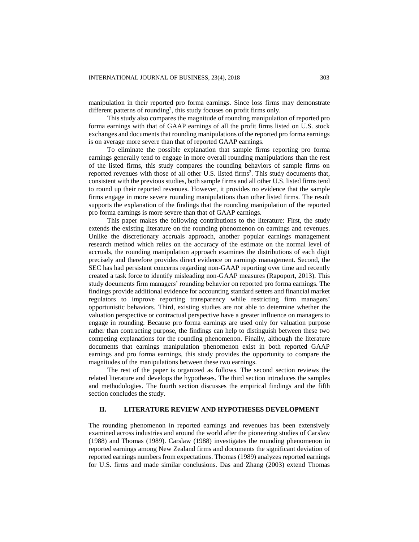manipulation in their reported pro forma earnings. Since loss firms may demonstrate different patterns of rounding<sup>2</sup>, this study focuses on profit firms only.

This study also compares the magnitude of rounding manipulation of reported pro forma earnings with that of GAAP earnings of all the profit firms listed on U.S. stock exchanges and documents that rounding manipulations of the reported pro forma earnings is on average more severe than that of reported GAAP earnings.

To eliminate the possible explanation that sample firms reporting pro forma earnings generally tend to engage in more overall rounding manipulations than the rest of the listed firms, this study compares the rounding behaviors of sample firms on reported revenues with those of all other U.S. listed firms<sup>3</sup>. This study documents that, consistent with the previous studies, both sample firms and all other U.S. listed firms tend to round up their reported revenues. However, it provides no evidence that the sample firms engage in more severe rounding manipulations than other listed firms. The result supports the explanation of the findings that the rounding manipulation of the reported pro forma earnings is more severe than that of GAAP earnings.

This paper makes the following contributions to the literature: First, the study extends the existing literature on the rounding phenomenon on earnings and revenues. Unlike the discretionary accruals approach, another popular earnings management research method which relies on the accuracy of the estimate on the normal level of accruals, the rounding manipulation approach examines the distributions of each digit precisely and therefore provides direct evidence on earnings management. Second, the SEC has had persistent concerns regarding non-GAAP reporting over time and recently created a task force to identify misleading non-GAAP measures (Rapoport, 2013). This study documents firm managers' rounding behavior on reported pro forma earnings. The findings provide additional evidence for accounting standard setters and financial market regulators to improve reporting transparency while restricting firm managers' opportunistic behaviors. Third, existing studies are not able to determine whether the valuation perspective or contractual perspective have a greater influence on managers to engage in rounding. Because pro forma earnings are used only for valuation purpose rather than contracting purpose, the findings can help to distinguish between these two competing explanations for the rounding phenomenon. Finally, although the literature documents that earnings manipulation phenomenon exist in both reported GAAP earnings and pro forma earnings, this study provides the opportunity to compare the magnitudes of the manipulations between these two earnings.

The rest of the paper is organized as follows. The second section reviews the related literature and develops the hypotheses. The third section introduces the samples and methodologies. The fourth section discusses the empirical findings and the fifth section concludes the study.

## **II. LITERATURE REVIEW AND HYPOTHESES DEVELOPMENT**

The rounding phenomenon in reported earnings and revenues has been extensively examined across industries and around the world after the pioneering studies of Carslaw (1988) and Thomas (1989). Carslaw (1988) investigates the rounding phenomenon in reported earnings among New Zealand firms and documents the significant deviation of reported earnings numbers from expectations. Thomas (1989) analyzes reported earnings for U.S. firms and made similar conclusions. Das and Zhang (2003) extend Thomas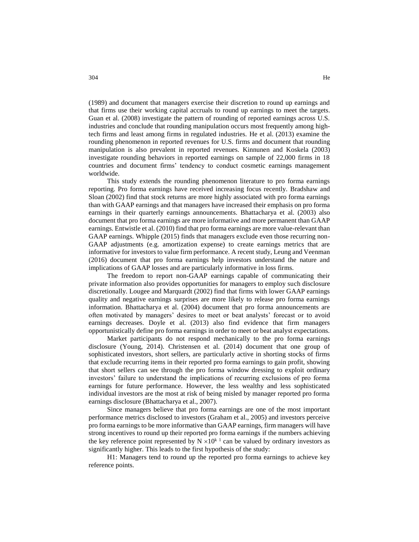(1989) and document that managers exercise their discretion to round up earnings and that firms use their working capital accruals to round up earnings to meet the targets. Guan et al. (2008) investigate the pattern of rounding of reported earnings across U.S. industries and conclude that rounding manipulation occurs most frequently among hightech firms and least among firms in regulated industries. He et al. (2013) examine the rounding phenomenon in reported revenues for U.S. firms and document that rounding manipulation is also prevalent in reported revenues. Kinnunen and Koskela (2003) investigate rounding behaviors in reported earnings on sample of 22,000 firms in 18 countries and document firms' tendency to conduct cosmetic earnings management worldwide.

This study extends the rounding phenomenon literature to pro forma earnings reporting. Pro forma earnings have received increasing focus recently. Bradshaw and Sloan (2002) find that stock returns are more highly associated with pro forma earnings than with GAAP earnings and that managers have increased their emphasis on pro forma earnings in their quarterly earnings announcements. Bhattacharya et al. (2003) also document that pro forma earnings are more informative and more permanent than GAAP earnings. Entwistle et al. (2010) find that pro forma earnings are more value-relevant than GAAP earnings. Whipple (2015) finds that managers exclude even those recurring non-GAAP adjustments (e.g. amortization expense) to create earnings metrics that are informative for investors to value firm performance. A recent study, Leung and Veenman (2016) document that pro forma earnings help investors understand the nature and implications of GAAP losses and are particularly informative in loss firms.

The freedom to report non-GAAP earnings capable of communicating their private information also provides opportunities for managers to employ such disclosure discretionally. Lougee and Marquardt (2002) find that firms with lower GAAP earnings quality and negative earnings surprises are more likely to release pro forma earnings information. Bhattacharya et al. (2004) document that pro forma announcements are often motivated by managers' desires to meet or beat analysts' forecast or to avoid earnings decreases. Doyle et al. (2013) also find evidence that firm managers opportunistically define pro forma earnings in order to meet or beat analyst expectations.

Market participants do not respond mechanically to the pro forma earnings disclosure (Young, 2014). Christensen et al. (2014) document that one group of sophisticated investors, short sellers, are particularly active in shorting stocks of firms that exclude recurring items in their reported pro forma earnings to gain profit, showing that short sellers can see through the pro forma window dressing to exploit ordinary investors' failure to understand the implications of recurring exclusions of pro forma earnings for future performance. However, the less wealthy and less sophisticated individual investors are the most at risk of being misled by manager reported pro forma earnings disclosure (Bhattacharya et al., 2007).

Since managers believe that pro forma earnings are one of the most important performance metrics disclosed to investors (Graham et al., 2005) and investors perceive pro forma earnings to be more informative than GAAP earnings, firm managers will have strong incentives to round up their reported pro forma earnings if the numbers achieving the key reference point represented by  $N \times 10^{k}$  can be valued by ordinary investors as significantly higher. This leads to the first hypothesis of the study:

H1: Managers tend to round up the reported pro forma earnings to achieve key reference points.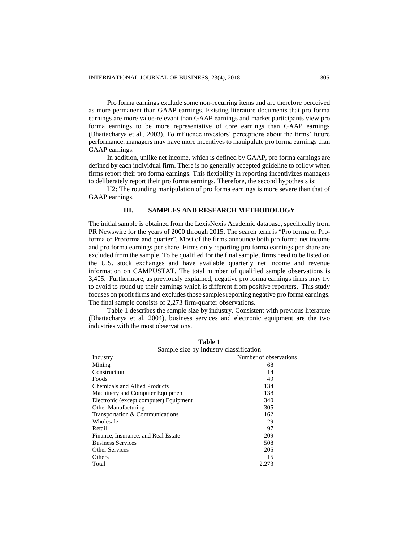Pro forma earnings exclude some non-recurring items and are therefore perceived as more permanent than GAAP earnings. Existing literature documents that pro forma earnings are more value-relevant than GAAP earnings and market participants view pro forma earnings to be more representative of core earnings than GAAP earnings (Bhattacharya et al., 2003). To influence investors' perceptions about the firms' future performance, managers may have more incentives to manipulate pro forma earnings than GAAP earnings.

In addition, unlike net income, which is defined by GAAP, pro forma earnings are defined by each individual firm. There is no generally accepted guideline to follow when firms report their pro forma earnings. This flexibility in reporting incentivizes managers to deliberately report their pro forma earnings. Therefore, the second hypothesis is:

H2: The rounding manipulation of pro forma earnings is more severe than that of GAAP earnings.

## **III. SAMPLES AND RESEARCH METHODOLOGY**

The initial sample is obtained from the LexisNexis Academic database, specifically from PR Newswire for the years of 2000 through 2015. The search term is "Pro forma or Proforma or Proforma and quarter". Most of the firms announce both pro forma net income and pro forma earnings per share. Firms only reporting pro forma earnings per share are excluded from the sample. To be qualified for the final sample, firms need to be listed on the U.S. stock exchanges and have available quarterly net income and revenue information on CAMPUSTAT. The total number of qualified sample observations is 3,405. Furthermore, as previously explained, negative pro forma earnings firms may try to avoid to round up their earnings which is different from positive reporters. This study focuses on profit firms and excludes those samples reporting negative pro forma earnings. The final sample consists of 2,273 firm-quarter observations.

Table 1 describes the sample size by industry. Consistent with previous literature (Bhattacharya et al. 2004), business services and electronic equipment are the two industries with the most observations.

| Sample size by industry classification |                        |  |  |  |  |  |  |  |
|----------------------------------------|------------------------|--|--|--|--|--|--|--|
| Industry                               | Number of observations |  |  |  |  |  |  |  |
| Mining                                 | 68                     |  |  |  |  |  |  |  |
| Construction                           | 14                     |  |  |  |  |  |  |  |
| Foods                                  | 49                     |  |  |  |  |  |  |  |
| Chemicals and Allied Products          | 134                    |  |  |  |  |  |  |  |
| Machinery and Computer Equipment       | 138                    |  |  |  |  |  |  |  |
| Electronic (except computer) Equipment | 340                    |  |  |  |  |  |  |  |
| <b>Other Manufacturing</b>             | 305                    |  |  |  |  |  |  |  |
| Transportation & Communications        | 162                    |  |  |  |  |  |  |  |
| Wholesale                              | 29                     |  |  |  |  |  |  |  |
| Retail                                 | 97                     |  |  |  |  |  |  |  |
| Finance, Insurance, and Real Estate    | 209                    |  |  |  |  |  |  |  |
| <b>Business Services</b>               | 508                    |  |  |  |  |  |  |  |
| <b>Other Services</b>                  | 205                    |  |  |  |  |  |  |  |
| Others                                 | 15                     |  |  |  |  |  |  |  |
| Total                                  | 2,273                  |  |  |  |  |  |  |  |

**Table 1**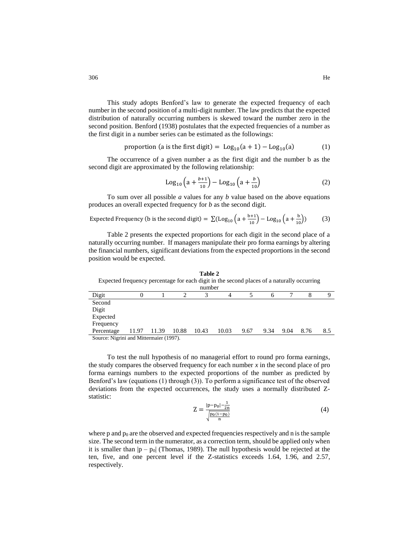This study adopts Benford's law to generate the expected frequency of each number in the second position of a multi-digit number. The law predicts that the expected distribution of naturally occurring numbers is skewed toward the number zero in the second position. Benford (1938) postulates that the expected frequencies of a number as the first digit in a number series can be estimated as the followings:

proportion (a is the first digit) = 
$$
Log_{10}(a + 1) - Log_{10}(a)
$$
 (1)

The occurrence of a given number a as the first digit and the number b as the second digit are approximated by the following relationship:

$$
Log_{10}\left(a + \frac{b+1}{10}\right) - Log_{10}\left(a + \frac{b}{10}\right) \tag{2}
$$

To sum over all possible *a* values for any *b* value based on the above equations produces an overall expected frequency for *b* as the second digit.

Expected Frequency (b is the second digit) = 
$$
\sum
$$
(Log<sub>10</sub>  $\left(a + \frac{b+1}{10}\right)$  - Log<sub>10</sub>  $\left(a + \frac{b}{10}\right)$ ) (3)

Table 2 presents the expected proportions for each digit in the second place of a naturally occurring number. If managers manipulate their pro forma earnings by altering the financial numbers, significant deviations from the expected proportions in the second position would be expected.

| Table 2<br>Expected frequency percentage for each digit in the second places of a naturally occurring<br>number |       |       |       |       |       |      |      |      |      |     |
|-----------------------------------------------------------------------------------------------------------------|-------|-------|-------|-------|-------|------|------|------|------|-----|
| Digit                                                                                                           |       |       |       |       |       |      |      |      |      |     |
| Second                                                                                                          |       |       |       |       |       |      |      |      |      |     |
| Digit                                                                                                           |       |       |       |       |       |      |      |      |      |     |
| Expected                                                                                                        |       |       |       |       |       |      |      |      |      |     |
| Frequency                                                                                                       |       |       |       |       |       |      |      |      |      |     |
| Percentage                                                                                                      | 11.97 | 11.39 | 10.88 | 10.43 | 10.03 | 9.67 | 9.34 | 9.04 | 8.76 | 8.5 |
| Source: Nigrini and Mittermaier (1997).                                                                         |       |       |       |       |       |      |      |      |      |     |

To test the null hypothesis of no managerial effort to round pro forma earnings, the study compares the observed frequency for each number *x* in the second place of pro forma earnings numbers to the expected proportions of the number as predicted by Benford's law (equations (1) through (3)). To perform a significance test of the observed deviations from the expected occurrences, the study uses a normally distributed Zstatistic:

$$
Z = \frac{|p - p_0| - \frac{1}{2n}}{\sqrt{\frac{p_0(1 - p_0)}{n}}}
$$
(4)

where p and  $p_0$  are the observed and expected frequencies respectively and n is the sample size. The second term in the numerator, as a correction term, should be applied only when it is smaller than  $|p - p_0|$  (Thomas, 1989). The null hypothesis would be rejected at the ten, five, and one percent level if the Z-statistics exceeds 1.64, 1.96, and 2.57, respectively.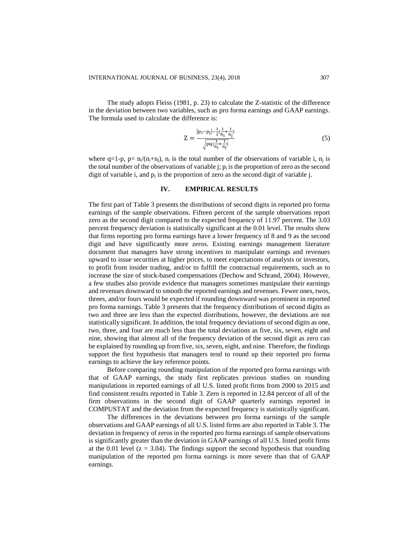The study adopts Fleiss (1981, p. 23) to calculate the Z-statistic of the difference in the deviation between two variables, such as pro forma earnings and GAAP earnings. The formula used to calculate the difference is:

$$
Z = \frac{|p_i - p_j| - \frac{1}{2}(\frac{1}{n_i} + \frac{1}{n_j})}{\sqrt{pq(\frac{1}{n_i} + \frac{1}{n_j})}}
$$
(5)

where  $q=1-p$ ,  $p=n/(n_1+n_1)$ ,  $n_i$  is the total number of the observations of variable i,  $n_i$  is the total number of the observations of variable  $\mathbf{i}$ ;  $\mathbf{p}_i$  is the proportion of zero as the second digit of variable i, and  $p_i$  is the proportion of zero as the second digit of variable j.

## **IV. EMPIRICAL RESULTS**

The first part of Table 3 presents the distributions of second digits in reported pro forma earnings of the sample observations. Fifteen percent of the sample observations report zero as the second digit compared to the expected frequency of 11.97 percent. The 3.03 percent frequency deviation is statistically significant at the 0.01 level. The results show that firms reporting pro forma earnings have a lower frequency of 8 and 9 as the second digit and have significantly more zeros. Existing earnings management literature document that managers have strong incentives to manipulate earnings and revenues upward to issue securities at higher prices, to meet expectations of analysts or investors, to profit from insider trading, and/or to fulfill the contractual requirements, such as to increase the size of stock-based compensations (Dechow and Schrand, 2004). However, a few studies also provide evidence that managers sometimes manipulate their earnings and revenues downward to smooth the reported earnings and revenues. Fewer ones, twos, threes, and/or fours would be expected if rounding downward was prominent in reported pro forma earnings. Table 3 presents that the frequency distributions of second digits as two and three are less than the expected distributions, however, the deviations are not statistically significant. In addition, the total frequency deviations of second digits as one, two, three, and four are much less than the total deviations as five, six, seven, eight and nine, showing that almost all of the frequency deviation of the second digit as zero can be explained by rounding up from five, six, seven, eight, and nine. Therefore, the findings support the first hypothesis that managers tend to round up their reported pro forma earnings to achieve the key reference points.

Before comparing rounding manipulation of the reported pro forma earnings with that of GAAP earnings, the study first replicates previous studies on rounding manipulations in reported earnings of all U.S. listed profit firms from 2000 to 2015 and find consistent results reported in Table 3. Zero is reported in 12.84 percent of all of the firm observations in the second digit of GAAP quarterly earnings reported in COMPUSTAT and the deviation from the expected frequency is statistically significant.

The differences in the deviations between pro forma earnings of the sample observations and GAAP earnings of all U.S. listed firms are also reported in Table 3. The deviation in frequency of zeros in the reported pro forma earnings of sample observations is significantly greater than the deviation in GAAP earnings of all U.S. listed profit firms at the 0.01 level  $(z = 3.04)$ . The findings support the second hypothesis that rounding manipulation of the reported pro forma earnings is more severe than that of GAAP earnings.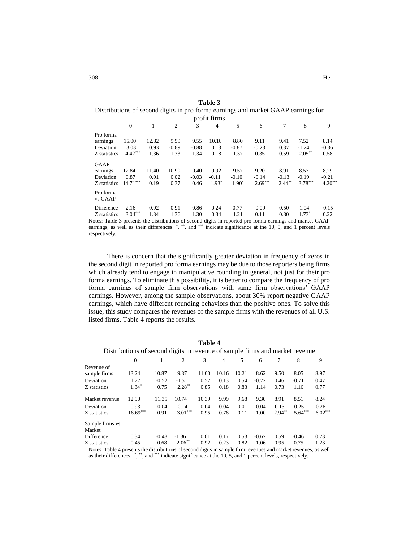| Table 3                                                                           |
|-----------------------------------------------------------------------------------|
| Distributions of second digits in pro forma earnings and market GAAP earnings for |
| profit firms                                                                      |

|              | $\mathbf{0}$ |       | $\overline{c}$ | 3       | 4       | 5       | 6         | 7         | 8         | 9         |
|--------------|--------------|-------|----------------|---------|---------|---------|-----------|-----------|-----------|-----------|
| Pro forma    |              |       |                |         |         |         |           |           |           |           |
| earnings     | 15.00        | 12.32 | 9.99           | 9.55    | 10.16   | 8.80    | 9.11      | 9.41      | 7.52      | 8.14      |
| Deviation    | 3.03         | 0.93  | $-0.89$        | $-0.88$ | 0.13    | $-0.87$ | $-0.23$   | 0.37      | $-1.24$   | $-0.36$   |
| Z statistics | $4.42***$    | 1.36  | 1.33           | 1.34    | 0.18    | 1.37    | 0.35      | 0.59      | $2.05***$ | 0.58      |
| <b>GAAP</b>  |              |       |                |         |         |         |           |           |           |           |
| earnings     | 12.84        | 11.40 | 10.90          | 10.40   | 9.92    | 9.57    | 9.20      | 8.91      | 8.57      | 8.29      |
| Deviation    | 0.87         | 0.01  | 0.02           | $-0.03$ | $-0.11$ | $-0.10$ | $-0.14$   | $-0.13$   | $-0.19$   | $-0.21$   |
| Z statistics | $14.71***$   | 0.19  | 0.37           | 0.46    | $1.93*$ | $1.90*$ | $2.69***$ | $2.44***$ | $3.78***$ | $4.20***$ |
| Pro forma    |              |       |                |         |         |         |           |           |           |           |
| vs GAAP      |              |       |                |         |         |         |           |           |           |           |
| Difference   | 2.16         | 0.92  | $-0.91$        | $-0.86$ | 0.24    | $-0.77$ | $-0.09$   | 0.50      | $-1.04$   | $-0.15$   |
| Z statistics | $3.04***$    | 1.34  | 1.36           | 1.30    | 0.34    | 1.21    | 0.11      | 0.80      | $1.73*$   | 0.22      |
| ____         |              |       |                |         |         |         |           |           |           |           |

Notes: Table 3 presents the distributions of second digits in reported pro forma earnings and market GAAP earnings, as well as their differences.  $\overset{*}{\cdot}$ ,  $\overset{**}{\cdot}$  and  $\overset{***}{\cdot}$  indicate significance at the 10, 5, and 1 percent levels respectively.

There is concern that the significantly greater deviation in frequency of zeros in the second digit in reported pro forma earnings may be due to those reporters being firms which already tend to engage in manipulative rounding in general, not just for their pro forma earnings. To eliminate this possibility, it is better to compare the frequency of pro forma earnings of sample firm observations with same firm observations' GAAP earnings. However, among the sample observations, about 30% report negative GAAP earnings, which have different rounding behaviors than the positive ones. To solve this issue, this study compares the revenues of the sample firms with the revenues of all U.S. listed firms. Table 4 reports the results.

| Distributions of second digits in revenue of sample firms and market revenue                                    |              |         |           |         |         |       |         |          |           |           |
|-----------------------------------------------------------------------------------------------------------------|--------------|---------|-----------|---------|---------|-------|---------|----------|-----------|-----------|
|                                                                                                                 | $\mathbf{0}$ |         | 2         | 3       | 4       | 5     | 6       | 7        | 8         | 9         |
| Revenue of                                                                                                      |              |         |           |         |         |       |         |          |           |           |
| sample firms                                                                                                    | 13.24        | 10.87   | 9.37      | 11.00   | 10.16   | 10.21 | 8.62    | 9.50     | 8.05      | 8.97      |
| Deviation                                                                                                       | 1.27         | $-0.52$ | $-1.51$   | 0.57    | 0.13    | 0.54  | $-0.72$ | 0.46     | $-0.71$   | 0.47      |
| Z statistics                                                                                                    | 1.84*        | 0.75    | $2.28***$ | 0.85    | 0.18    | 0.83  | 1.14    | 0.73     | 1.16      | 0.77      |
| Market revenue                                                                                                  | 12.90        | 11.35   | 10.74     | 10.39   | 9.99    | 9.68  | 9.30    | 8.91     | 8.51      | 8.24      |
| Deviation                                                                                                       | 0.93         | $-0.04$ | $-0.14$   | $-0.04$ | $-0.04$ | 0.01  | $-0.04$ | $-0.13$  | $-0.25$   | $-0.26$   |
| Z statistics                                                                                                    | $18.69***$   | 0.91    | $3.01***$ | 0.95    | 0.78    | 0.11  | 1.00    | $2.94**$ | $5.64***$ | $6.02***$ |
| Sample firms vs                                                                                                 |              |         |           |         |         |       |         |          |           |           |
| Market                                                                                                          |              |         |           |         |         |       |         |          |           |           |
| Difference                                                                                                      | 0.34         | $-0.48$ | $-1.36$   | 0.61    | 0.17    | 0.53  | $-0.67$ | 0.59     | $-0.46$   | 0.73      |
| Z statistics                                                                                                    | 0.45         | 0.68    | $2.06**$  | 0.92    | 0.23    | 0.82  | 1.06    | 0.95     | 0.75      | 1.23      |
| Notes: Table 4 presents the distributions of second digits in sample firm revenues and market revenues, as well |              |         |           |         |         |       |         |          |           |           |

**Table 4**

as their differences. \*, \*\*, and \*\*\* indicate significance at the 10, 5, and 1 percent levels, respectively.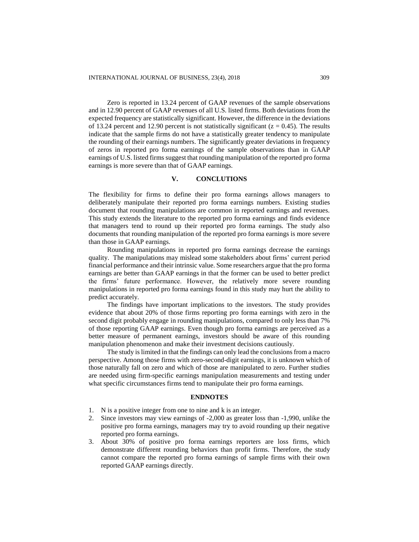Zero is reported in 13.24 percent of GAAP revenues of the sample observations and in 12.90 percent of GAAP revenues of all U.S. listed firms. Both deviations from the expected frequency are statistically significant. However, the difference in the deviations of 13.24 percent and 12.90 percent is not statistically significant ( $z = 0.45$ ). The results indicate that the sample firms do not have a statistically greater tendency to manipulate the rounding of their earnings numbers. The significantly greater deviations in frequency of zeros in reported pro forma earnings of the sample observations than in GAAP earnings of U.S. listed firms suggest that rounding manipulation of the reported pro forma earnings is more severe than that of GAAP earnings.

## **V. CONCLUTIONS**

The flexibility for firms to define their pro forma earnings allows managers to deliberately manipulate their reported pro forma earnings numbers. Existing studies document that rounding manipulations are common in reported earnings and revenues. This study extends the literature to the reported pro forma earnings and finds evidence that managers tend to round up their reported pro forma earnings. The study also documents that rounding manipulation of the reported pro forma earnings is more severe than those in GAAP earnings.

Rounding manipulations in reported pro forma earnings decrease the earnings quality. The manipulations may mislead some stakeholders about firms' current period financial performance and their intrinsic value. Some researchers argue that the pro forma earnings are better than GAAP earnings in that the former can be used to better predict the firms' future performance. However, the relatively more severe rounding manipulations in reported pro forma earnings found in this study may hurt the ability to predict accurately.

The findings have important implications to the investors. The study provides evidence that about 20% of those firms reporting pro forma earnings with zero in the second digit probably engage in rounding manipulations, compared to only less than 7% of those reporting GAAP earnings. Even though pro forma earnings are perceived as a better measure of permanent earnings, investors should be aware of this rounding manipulation phenomenon and make their investment decisions cautiously.

The study is limited in that the findings can only lead the conclusions from a macro perspective. Among those firms with zero-second-digit earnings, it is unknown which of those naturally fall on zero and which of those are manipulated to zero. Further studies are needed using firm-specific earnings manipulation measurements and testing under what specific circumstances firms tend to manipulate their pro forma earnings.

## **ENDNOTES**

- 1. N is a positive integer from one to nine and k is an integer.
- 2. Since investors may view earnings of -2,000 as greater loss than -1,990, unlike the positive pro forma earnings, managers may try to avoid rounding up their negative reported pro forma earnings.
- 3. About 30% of positive pro forma earnings reporters are loss firms, which demonstrate different rounding behaviors than profit firms. Therefore, the study cannot compare the reported pro forma earnings of sample firms with their own reported GAAP earnings directly.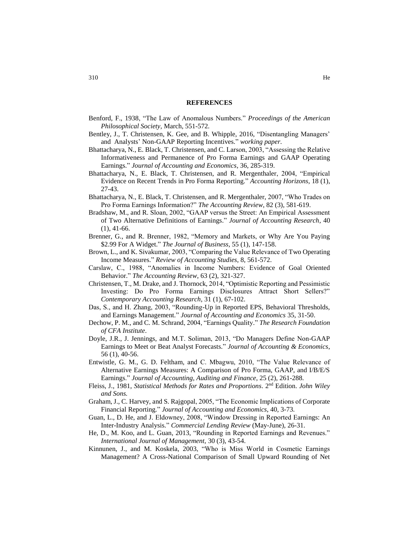#### **REFERENCES**

- Benford, F., 1938, "The Law of Anomalous Numbers." *Proceedings of the American Philosophical Society,* March, 551-572.
- Bentley, J., T. Christensen, K. Gee, and B. Whipple, 2016, "Disentangling Managers' and Analysts' Non-GAAP Reporting Incentives." *working paper.*
- Bhattacharya, N., E. Black, T. Christensen, and C. Larson, 2003, "Assessing the Relative Informativeness and Permanence of Pro Forma Earnings and GAAP Operating Earnings." *Journal of Accounting and Economics*, 36, 285-319.
- Bhattacharya, N., E. Black, T. Christensen, and R. Mergenthaler, 2004, "Empirical Evidence on Recent Trends in Pro Forma Reporting." *Accounting Horizons*, 18 (1), 27-43.
- Bhattacharya, N., E. Black, T. Christensen, and R. Mergenthaler, 2007, "Who Trades on Pro Forma Earnings Information?" *The Accounting Review*, 82 (3), 581-619.
- Bradshaw, M., and R. Sloan, 2002, "GAAP versus the Street: An Empirical Assessment of Two Alternative Definitions of Earnings." *Journal of Accounting Research*, 40  $(1), 41-66.$
- Brenner, G., and R. Brenner, 1982, "Memory and Markets, or Why Are You Paying \$2.99 For A Widget." *The Journal of Business,* 55 (1), 147-158.
- Brown, L., and K. Sivakumar, 2003, "Comparing the Value Relevance of Two Operating Income Measures." *Review of Accounting Studies*, 8, 561-572.
- Carslaw, C., 1988, "Anomalies in Income Numbers: Evidence of Goal Oriented Behavior." *The Accounting Review*, 63 (2), 321-327.
- Christensen, T., M. Drake, and J. Thornock, 2014, "Optimistic Reporting and Pessimistic Investing: Do Pro Forma Earnings Disclosures Attract Short Sellers?" *Contemporary Accounting Research*, 31 (1), 67-102.
- Das, S., and H. Zhang, 2003, "Rounding-Up in Reported EPS, Behavioral Thresholds, and Earnings Management." *Journal of Accounting and Economics* 35, 31-50.
- Dechow, P. M., and C. M. Schrand, 2004, "Earnings Quality." *The Research Foundation of CFA Institute*.
- Doyle, J.R., J. Jennings, and M.T. Soliman, 2013, "Do Managers Define Non-GAAP Earnings to Meet or Beat Analyst Forecasts." *Journal of Accounting & Economics*, 56 (1), 40-56.
- Entwistle, G. M., G. D. Feltham, and C. Mbagwu, 2010, "The Value Relevance of Alternative Earnings Measures: A Comparison of Pro Forma, GAAP, and I/B/E/S Earnings." *Journal of Accounting, Auditing and Finance,* 25 (2), 261-288.
- Fleiss, J., 1981, *Statistical Methods for Rates and Proportions*. 2<sup>nd</sup> Edition. *John Wiley and Sons.*
- Graham, J., C. Harvey, and S. Rajgopal, 2005, "The Economic Implications of Corporate Financial Reporting." *Journal of Accounting and Economics*, 40, 3-73.
- Guan, L., D. He, and J. Eldowney, 2008, "Window Dressing in Reported Earnings: An Inter-Industry Analysis." *Commercial Lending Review* (May-June), 26-31.
- He, D., M. Koo, and L. Guan, 2013, "Rounding in Reported Earnings and Revenues." *International Journal of Management,* 30 (3), 43-54.
- Kinnunen, J., and M. Koskela, 2003, "Who is Miss World in Cosmetic Earnings Management? A Cross-National Comparison of Small Upward Rounding of Net